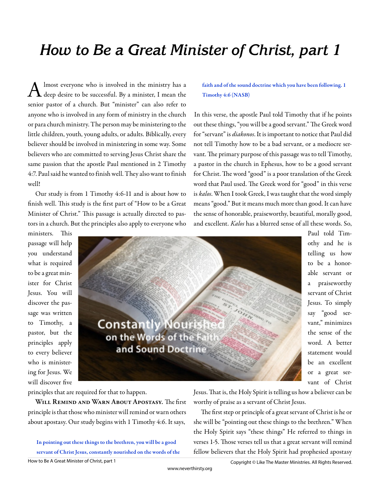## **How to Be a Great Minister of Christ, part 1**

 $A$  lmost everyone who is involved in the ministry has a deep desire to be successful. By a minister, I mean the lmost everyone who is involved in the ministry has a senior pastor of a church. But "minister" can also refer to anyone who is involved in any form of ministry in the church or para church ministry. The person may be ministering to the little children, youth, young adults, or adults. Biblically, every believer should be involved in ministering in some way. Some believers who are committed to serving Jesus Christ share the same passion that the apostle Paul mentioned in 2 Timothy 4:7. Paul said he wanted to finish well. They also want to finish well!

Our study is from 1 Timothy 4:6-11 and is about how to finish well. This study is the first part of "How to be a Great Minister of Christ." This passage is actually directed to pastors in a church. But the principles also apply to everyone who

faith and of the sound doctrine which you have been following. 1 Timothy 4:6 (NASB)

In this verse, the apostle Paul told Timothy that if he points out these things, "you will be a good servant." The Greek word for "servant" is *diakonos*. It is important to notice that Paul did not tell Timothy how to be a bad servant, or a mediocre servant. The primary purpose of this passage was to tell Timothy, a pastor in the church in Ephesus, how to be a good servant for Christ. The word "good" is a poor translation of the Greek word that Paul used. The Greek word for "good" in this verse is *kalos*. When I took Greek, I was taught that the word simply means "good." But it means much more than good. It can have the sense of honorable, praiseworthy, beautiful, morally good, and excellent. *Kalos* has a blurred sense of all these words. So,

ministers. This passage will help you understand what is required to be a great minister for Christ Jesus. You will discover the passage was written to Timothy, a pastor, but the principles apply to every believer who is ministering for Jesus. We will discover five



Paul told Timothy and he is telling us how to be a honorable servant or a praiseworthy servant of Christ Jesus. To simply say "good servant," minimizes the sense of the word. A better statement would be an excellent or a great servant of Christ

principles that are required for that to happen.

**WILL REMIND AND WARN ABOUT APOSTASY.** The first principle is that those who minister will remind or warn others about apostasy. Our study begins with 1 Timothy 4:6. It says,

In pointing out these things to the brethren, you will be a good servant of Christ Jesus, constantly nourished on the words of the Jesus. That is, the Holy Spirit is telling us how a believer can be worthy of praise as a servant of Christ Jesus.

The first step or principle of a great servant of Christ is he or she will be "pointing out these things to the brethren." When the Holy Spirit says "these things" He referred to things in verses 1-5. Those verses tell us that a great servant will remind fellow believers that the Holy Spirit had prophesied apostasy

How to Be A Great Minister of Christ, part 1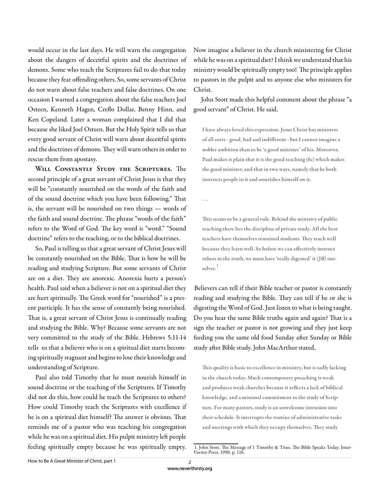would occur in the last days. He will warn the congregation about the dangers of deceitful spirits and the doctrines of demons. Some who teach the Scriptures fail to do that today because they fear offending others. So, some servants of Christ do not warn about false teachers and false doctrines. On one occasion I warned a congregation about the false teachers Joel Osteen, Kenneth Hagen, Creflo Dollar, Benny Hinn, and Ken Copeland. Later a woman complained that I did that because she liked Joel Osteen. But the Holy Spirit tells us that every good servant of Christ will warn about deceitful spirits and the doctrines of demons. They will warn others in order to rescue them from apostasy.

WILL CONSTANTLY STUDY THE SCRIPTURES. The second principle of a great servant of Christ Jesus is that they will be "constantly nourished on the words of the faith and of the sound doctrine which you have been following." That is, the servant will be nourished on two things — words of the faith and sound doctrine. The phrase "words of the faith" refers to the Word of God. The key word is "word." "Sound doctrine" refers to the teaching, or to the biblical doctrines.

So, Paul is telling us that a great servant of Christ Jesus will be constantly nourished on the Bible. That is how he will be reading and studying Scripture. But some servants of Christ are on a diet. They are anorexic. Anorexia hurts a person's health. Paul said when a believer is not on a spiritual diet they are hurt spiritually. The Greek word for "nourished" is a present participle. It has the sense of constantly being nourished. That is, a great servant of Christ Jesus is continually reading and studying the Bible. Why? Because some servants are not very committed to the study of the Bible. Hebrews 5:11-14 tells us that a believer who is on a spiritual diet starts becoming spiritually stagnant and begins to lose their knowledge and understanding of Scripture.

Paul also told Timothy that he must nourish himself in sound doctrine or the teaching of the Scriptures. If Timothy did not do this, how could he teach the Scriptures to others? How could Timothy teach the Scriptures with excellence if he is on a spiritual diet himself? The answer is obvious. That reminds me of a pastor who was teaching his congregation while he was on a spiritual diet. His pulpit ministry left people feeling spiritually empty because he was spiritually empty.

Now imagine a believer in the church ministering for Christ while he was on a spiritual diet? I think we understand that his ministry would be spiritually empty too! The principle applies to pastors in the pulpit and to anyone else who ministers for Christ.

John Stott made this helpful comment about the phrase "a good servant" of Christ. He said,

I have always loved this expression. Jesus Christ has ministers of all sorts - good, bad and indifferent - but I cannot imagine a nobler ambition than to be 'a good minister' of his. Moreover, Paul makes it plain that it is the good teaching (6c) which makes the good minister, and that in two ways, namely that he both instructs people in it and nourishes himself on it.

. . .

This seems to be a general rule. Behind the ministry of public teaching there lies the discipline of private study. All the best teachers have themselves remained students. They teach well because they learn well. So before we can effectively instruct others in the truth, we must have 'really digested' it (JB) ourselves.<sup>1</sup>

Believers can tell if their Bible teacher or pastor is constantly reading and studying the Bible. They can tell if he or she is digesting the Word of God. Just listen to what is being taught. Do you hear the same Bible truths again and again? That is a sign the teacher or pastor is not growing and they just keep feeding you the same old food Sunday after Sunday or Bible study after Bible study. John MacArthur stated,

This quality is basic to excellence in ministry, but is sadly lacking in the church today. Much contemporary preaching is weak and produces weak churches because it reflects a lack of biblical knowledge, and a minimal commitment to the study of Scripture. For many pastors, study is an unwelcome intrusion into their schedule. It interrupts the routine of administrative tasks and meetings with which they occupy themselves. They study

<sup>1.</sup> John Stott. The Message of 1 Timothy & Titus. The Bible Speaks Today. Inter-Varsity-Press. 1996. p. 116.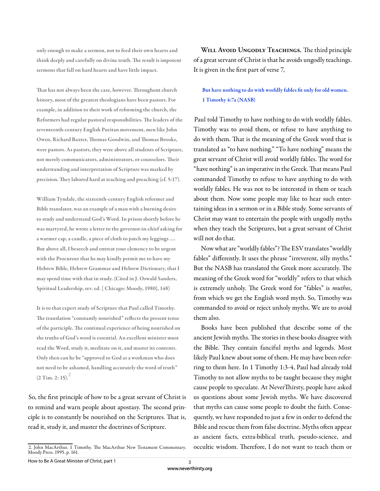only enough to make a sermon, not to feed their own hearts and think deeply and carefully on divine truth. The result is impotent sermons that fall on hard hearts and have little impact.

That has not always been the case, however. Throughout church history, most of the greatest theologians have been pastors. For example, in addition to their work of reforming the church, the Reformers had regular pastoral responsibilities. The leaders of the seventeenth-century English Puritan movement, men like John Owen, Richard Baxter, Thomas Goodwin, and Thomas Brooks, were pastors. As pastors, they were above all students of Scripture, not merely communicators, administrators, or counselors. Their understanding and interpretation of Scripture was marked by precision. They labored hard at teaching and preaching (cf. 5:17).

William Tyndale, the sixteenth-century English reformer and Bible translator, was an example of a man with a burning desire to study and understand God's Word. In prison shortly before he was martyred, he wrote a letter to the governor-in-chief asking for a warmer cap, a candle, a piece of cloth to patch my leggings .... But above all, I beseech and entreat your clemency to be urgent with the Procureur that he may kindly permit me to have my Hebrew Bible, Hebrew Grammar and Hebrew Dictionary, that I may spend time with that in study. (Cited in J. Oswald Sanders, Spiritual Leadership, rev. ed. [ Chicago: Moody, 1980], 148)

It is to that expert study of Scripture that Paul called Timothy. The translation "constantly nourished" reflects the present tense of the participle. The continual experience of being nourished on the truths of God's word is essential. An excellent minister must read the Word, study it, meditate on it, and master its contents. Only then can he be "approved to God as a workman who does not need to be ashamed, handling accurately the word of truth"  $(2$  Tim. 2: 15).<sup>2</sup>

So, the first principle of how to be a great servant of Christ is to remind and warn people about apostasy. The second principle is to constantly be nourished on the Scriptures. That is, read it, study it, and master the doctrines of Scripture.

WILL AVOID UNGODLY TEACHINGS. The third principle of a great servant of Christ is that he avoids ungodly teachings. It is given in the first part of verse 7,

But have nothing to do with worldly fables fit only for old women. 1 Timothy 4:7a (NASB)

Paul told Timothy to have nothing to do with worldly fables. Timothy was to avoid them, or refuse to have anything to do with them. That is the meaning of the Greek word that is translated as "to have nothing." "To have nothing" means the great servant of Christ will avoid worldly fables. The word for "have nothing" is an imperative in the Greek. That means Paul commanded Timothy to refuse to have anything to do with worldly fables. He was not to be interested in them or teach about them. Now some people may like to hear such entertaining ideas in a sermon or in a Bible study. Some servants of Christ may want to entertain the people with ungodly myths when they teach the Scriptures, but a great servant of Christ will not do that.

Now what are "worldly fables"? The ESV translates "worldly fables" differently. It uses the phrase "irreverent, silly myths." But the NASB has translated the Greek more accurately. The meaning of the Greek word for "worldly" refers to that which is extremely unholy. The Greek word for "fables" is *muthos*, from which we get the English word myth. So, Timothy was commanded to avoid or reject unholy myths. We are to avoid them also.

Books have been published that describe some of the ancient Jewish myths. The stories in these books disagree with the Bible. They contain fanciful myths and legends. Most likely Paul knew about some of them. He may have been referring to them here. In 1 Timothy 1:3-4, Paul had already told Timothy to not allow myths to be taught because they might cause people to speculate. At NeverThirsty, people have asked us questions about some Jewish myths. We have discovered that myths can cause some people to doubt the faith. Consequently, we have responded to just a few in order to defend the Bible and rescue them from false doctrine. Myths often appear as ancient facts, extra-biblical truth, pseudo-science, and occultic wisdom. Therefore, I do not want to teach them or

<sup>2.</sup> John MacArthur. 1 Timothy. The MacArthur New Testament Commentary. Moody Press. 1995. p. 161.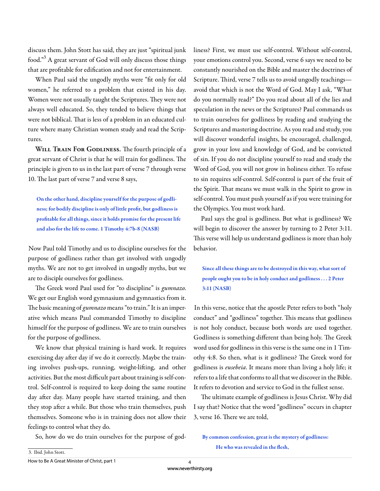discuss them. John Stott has said, they are just "spiritual junk food."<sup>3</sup> A great servant of God will only discuss those things that are profitable for edification and not for entertainment.

When Paul said the ungodly myths were "fit only for old women," he referred to a problem that existed in his day. Women were not usually taught the Scriptures. They were not always well educated. So, they tended to believe things that were not biblical. That is less of a problem in an educated culture where many Christian women study and read the Scriptures.

**WILL TRAIN FOR GODLINESS.** The fourth principle of a great servant of Christ is that he will train for godliness. The principle is given to us in the last part of verse 7 through verse 10. The last part of verse 7 and verse 8 says,

On the other hand, discipline yourself for the purpose of godliness; for bodily discipline is only of little profit, but godliness is profitable for all things, since it holds promise for the present life and also for the life to come. 1 Timothy 4:7b-8 (NASB)

Now Paul told Timothy and us to discipline ourselves for the purpose of godliness rather than get involved with ungodly myths. We are not to get involved in ungodly myths, but we are to disciple ourselves for godliness.

The Greek word Paul used for "to discipline" is *gumnazo*. We get our English word gymnasium and gymnastics from it. The basic meaning of *gumnazo* means "to train." It is an imperative which means Paul commanded Timothy to discipline himself for the purpose of godliness. We are to train ourselves for the purpose of godliness.

We know that physical training is hard work. It requires exercising day after day if we do it correctly. Maybe the training involves push-ups, running, weight-lifting, and other activities. But the most difficult part about training is self-control. Self-control is required to keep doing the same routine day after day. Many people have started training, and then they stop after a while. But those who train themselves, push themselves. Someone who is in training does not allow their feelings to control what they do.

So, how do we do train ourselves for the purpose of god-

liness? First, we must use self-control. Without self-control, your emotions control you. Second, verse 6 says we need to be constantly nourished on the Bible and master the doctrines of Scripture. Third, verse 7 tells us to avoid ungodly teachingsavoid that which is not the Word of God. May I ask, "What do you normally read?" Do you read about all of the lies and speculation in the news or the Scriptures? Paul commands us to train ourselves for godliness by reading and studying the Scriptures and mastering doctrine. As you read and study, you will discover wonderful insights, be encouraged, challenged, grow in your love and knowledge of God, and be convicted of sin. If you do not discipline yourself to read and study the Word of God, you will not grow in holiness either. To refuse to sin requires self-control. Self-control is part of the fruit of the Spirit. That means we must walk in the Spirit to grow in self-control. You must push yourself as if you were training for the Olympics. You must work hard.

Paul says the goal is godliness. But what is godliness? We will begin to discover the answer by turning to 2 Peter 3:11. This verse will help us understand godliness is more than holy behavior.

Since all these things are to be destroyed in this way, what sort of people ought you to be in holy conduct and godliness . . . 2 Peter 3:11 (NASB)

In this verse, notice that the apostle Peter refers to both "holy conduct" and "godliness" together. This means that godliness is not holy conduct, because both words are used together. Godliness is something different than being holy. The Greek word used for godliness in this verse is the same one in 1 Timothy 4:8. So then, what is it godliness? The Greek word for godliness is *eusebeia*. It means more than living a holy life; it refers to a life that conforms to all that we discover in the Bible. It refers to devotion and service to God in the fullest sense.

The ultimate example of godliness is Jesus Christ. Why did I say that? Notice that the word "godliness" occurs in chapter 3, verse 16. There we are told,

By common confession, great is the mystery of godliness: He who was revealed in the flesh,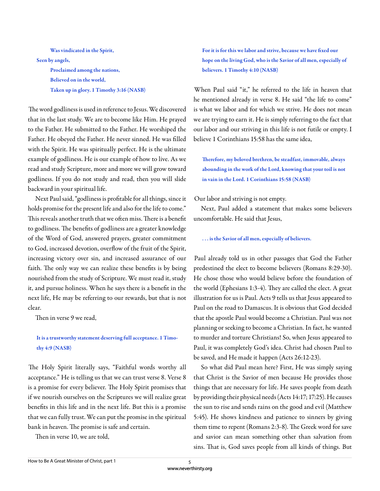Was vindicated in the Spirit, Seen by angels, Proclaimed among the nations, Believed on in the world, Taken up in glory. 1 Timothy 3:16 (NASB)

The word godliness is used in reference to Jesus. We discovered that in the last study. We are to become like Him. He prayed to the Father. He submitted to the Father. He worshiped the Father. He obeyed the Father. He never sinned. He was filled with the Spirit. He was spiritually perfect. He is the ultimate example of godliness. He is our example of how to live. As we read and study Scripture, more and more we will grow toward godliness. If you do not study and read, then you will slide backward in your spiritual life.

Next Paul said, "godliness is profitable for all things, since it holds promise for the present life and also for the life to come." This reveals another truth that we often miss. There is a benefit to godliness. The benefits of godliness are a greater knowledge of the Word of God, answered prayers, greater commitment to God, increased devotion, overflow of the fruit of the Spirit, increasing victory over sin, and increased assurance of our faith. The only way we can realize these benefits is by being nourished from the study of Scripture. We must read it, study it, and pursue holiness. When he says there is a benefit in the next life, He may be referring to our rewards, but that is not clear.

Then in verse 9 we read,

## It is a trustworthy statement deserving full acceptance. 1 Timothy 4:9 (NASB)

The Holy Spirit literally says, "Faithful words worthy all acceptance." He is telling us that we can trust verse 8. Verse 8 is a promise for every believer. The Holy Spirit promises that if we nourish ourselves on the Scriptures we will realize great benefits in this life and in the next life. But this is a promise that we can fully trust. We can put the promise in the spiritual bank in heaven. The promise is safe and certain.

Then in verse 10, we are told,

For it is for this we labor and strive, because we have fixed our hope on the living God, who is the Savior of all men, especially of believers. 1 Timothy 4:10 (NASB)

When Paul said "it," he referred to the life in heaven that he mentioned already in verse 8. He said "the life to come" is what we labor and for which we strive. He does not mean we are trying to earn it. He is simply referring to the fact that our labor and our striving in this life is not futile or empty. I believe 1 Corinthians 15:58 has the same idea,

Therefore, my beloved brethren, be steadfast, immovable, always abounding in the work of the Lord, knowing that your toil is not in vain in the Lord. 1 Corinthians 15:58 (NASB)

Our labor and striving is not empty.

Next, Paul added a statement that makes some believers uncomfortable. He said that Jesus,

. . . is the Savior of all men, especially of believers.

Paul already told us in other passages that God the Father predestined the elect to become believers (Romans 8:29-30). He chose those who would believe before the foundation of the world (Ephesians 1:3-4). They are called the elect. A great illustration for us is Paul. Acts 9 tells us that Jesus appeared to Paul on the road to Damascus. It is obvious that God decided that the apostle Paul would become a Christian. Paul was not planning or seeking to become a Christian. In fact, he wanted to murder and torture Christians! So, when Jesus appeared to Paul, it was completely God's idea. Christ had chosen Paul to be saved, and He made it happen (Acts 26:12-23).

So what did Paul mean here? First, He was simply saying that Christ is the Savior of men because He provides those things that are necessary for life. He saves people from death by providing their physical needs (Acts 14:17; 17:25). He causes the sun to rise and sends rains on the good and evil (Matthew 5:45). He shows kindness and patience to sinners by giving them time to repent (Romans 2:3-8). The Greek word for save and savior can mean something other than salvation from sins. That is, God saves people from all kinds of things. But